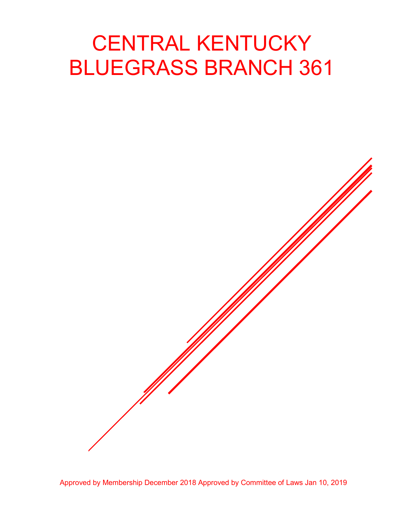# CENTRAL KENTUCKY BLUEGRASS BRANCH 361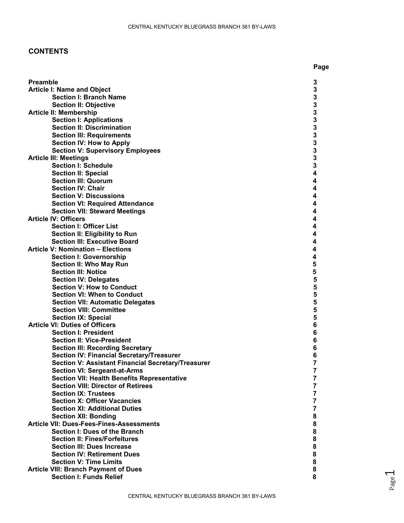# **CONTENTS**

|                                                                     | Page   |
|---------------------------------------------------------------------|--------|
|                                                                     |        |
| <b>Preamble</b>                                                     | 3      |
| <b>Article I: Name and Object</b>                                   | 3      |
| <b>Section I: Branch Name</b>                                       | 3      |
| <b>Section II: Objective</b><br><b>Article II: Membership</b>       | 3<br>3 |
| <b>Section I: Applications</b>                                      | 3      |
| <b>Section II: Discrimination</b>                                   | 3      |
| <b>Section III: Requirements</b>                                    | 3      |
| <b>Section IV: How to Apply</b>                                     | 3      |
| <b>Section V: Supervisory Employees</b>                             | 3      |
| <b>Article III: Meetings</b>                                        | 3      |
| <b>Section I: Schedule</b>                                          | 3      |
| <b>Section II: Special</b>                                          | 4      |
| <b>Section III: Quorum</b>                                          | 4      |
| <b>Section IV: Chair</b>                                            | 4      |
| <b>Section V: Discussions</b>                                       | 4      |
| <b>Section VI: Required Attendance</b>                              | 4      |
| <b>Section VII: Steward Meetings</b>                                | 4      |
| <b>Article IV: Officers</b>                                         | 4      |
| <b>Section I: Officer List</b>                                      | 4      |
| Section II: Eligibility to Run                                      | 4      |
| <b>Section III: Executive Board</b>                                 | 4      |
| <b>Article V: Nomination - Elections</b>                            | 4      |
| <b>Section I: Governorship</b>                                      | 4      |
| <b>Section II: Who May Run</b>                                      | 5      |
| <b>Section III: Notice</b>                                          | 5      |
| <b>Section IV: Delegates</b>                                        | 5      |
| <b>Section V: How to Conduct</b>                                    | 5      |
| <b>Section VI: When to Conduct</b>                                  | 5      |
| <b>Section VII: Automatic Delegates</b>                             | 5      |
| <b>Section VIII: Committee</b>                                      | 5      |
| <b>Section IX: Special</b><br><b>Article VI: Duties of Officers</b> | 5<br>6 |
| <b>Section I: President</b>                                         | 6      |
| <b>Section II: Vice-President</b>                                   | 6      |
| <b>Section III: Recording Secretary</b>                             | 6      |
| <b>Section IV: Financial Secretary/Treasurer</b>                    | 6      |
| Section V: Assistant Financial Secretary/Treasurer                  | 7      |
| <b>Section VI: Sergeant-at-Arms</b>                                 | 7      |
| <b>Section VII: Health Benefits Representative</b>                  | 7      |
| <b>Section VIII: Director of Retirees</b>                           | 7      |
| <b>Section IX: Trustees</b>                                         | 7      |
| <b>Section X: Officer Vacancies</b>                                 | 7      |
| <b>Section XI: Additional Duties</b>                                | 7      |
| <b>Section XII: Bonding</b>                                         | 8      |
| Article VII: Dues-Fees-Fines-Assessments                            | 8      |
| Section I: Dues of the Branch                                       | 8      |
| <b>Section II: Fines/Forfeitures</b>                                | 8      |
| <b>Section III: Dues Increase</b>                                   | 8      |
| <b>Section IV: Retirement Dues</b>                                  | 8      |
| <b>Section V: Time Limits</b>                                       | 8      |
| <b>Article VIII: Branch Payment of Dues</b>                         | 8      |
| <b>Section I: Funds Relief</b>                                      | 8      |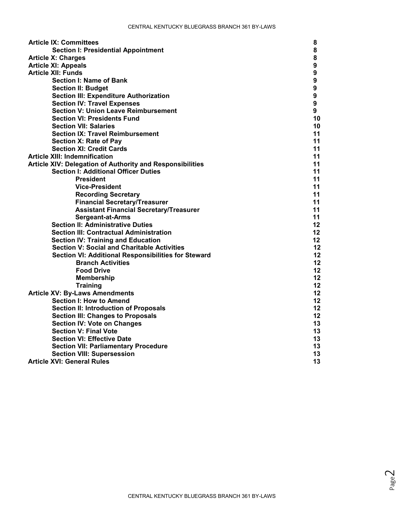| <b>Article IX: Committees</b>                             | 8               |
|-----------------------------------------------------------|-----------------|
| <b>Section I: Presidential Appointment</b>                | 8               |
| <b>Article X: Charges</b>                                 | 8               |
| <b>Article XI: Appeals</b>                                | 9               |
| <b>Article XII: Funds</b>                                 | 9               |
| <b>Section I: Name of Bank</b>                            | 9               |
| <b>Section II: Budget</b>                                 | 9               |
| <b>Section III: Expenditure Authorization</b>             | 9               |
| <b>Section IV: Travel Expenses</b>                        | 9               |
| <b>Section V: Union Leave Reimbursement</b>               | 9               |
| <b>Section VI: Presidents Fund</b>                        | 10              |
| <b>Section VII: Salaries</b>                              | 10              |
| <b>Section IX: Travel Reimbursement</b>                   | 11              |
| Section X: Rate of Pay                                    | 11              |
| <b>Section XI: Credit Cards</b>                           | 11              |
| <b>Article XIII: Indemnification</b>                      | 11              |
| Article XIV: Delegation of Authority and Responsibilities | 11              |
| <b>Section I: Additional Officer Duties</b>               | 11              |
| <b>President</b>                                          | 11              |
| <b>Vice-President</b>                                     | 11              |
| <b>Recording Secretary</b>                                | 11              |
| <b>Financial Secretary/Treasurer</b>                      | 11              |
| <b>Assistant Financial Secretary/Treasurer</b>            | 11              |
| <b>Sergeant-at-Arms</b>                                   | 11              |
| <b>Section II: Administrative Duties</b>                  | 12              |
| <b>Section III: Contractual Administration</b>            | 12              |
| <b>Section IV: Training and Education</b>                 | 12 <sup>°</sup> |
| <b>Section V: Social and Charitable Activities</b>        | 12              |
| Section VI: Additional Responsibilities for Steward       | 12              |
| <b>Branch Activities</b>                                  | 12              |
| <b>Food Drive</b>                                         | 12              |
| <b>Membership</b>                                         | 12              |
| <b>Training</b>                                           | 12              |
| <b>Article XV: By-Laws Amendments</b>                     | 12              |
| <b>Section I: How to Amend</b>                            | 12              |
| <b>Section II: Introduction of Proposals</b>              | 12              |
| <b>Section III: Changes to Proposals</b>                  | 12              |
| <b>Section IV: Vote on Changes</b>                        | 13              |
| <b>Section V: Final Vote</b>                              | 13              |
| <b>Section VI: Effective Date</b>                         | 13              |
| <b>Section VII: Parliamentary Procedure</b>               | 13              |
| <b>Section VIII: Supersession</b>                         | 13              |
| <b>Article XVI: General Rules</b>                         | 13              |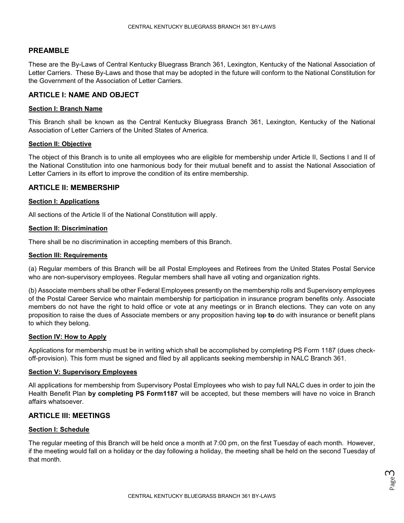## **PREAMBLE**

These are the By-Laws of Central Kentucky Bluegrass Branch 361, Lexington, Kentucky of the National Association of Letter Carriers. These By-Laws and those that may be adopted in the future will conform to the National Constitution for the Government of the Association of Letter Carriers.

## **ARTICLE I: NAME AND OBJECT**

#### **Section I: Branch Name**

This Branch shall be known as the Central Kentucky Bluegrass Branch 361, Lexington, Kentucky of the National Association of Letter Carriers of the United States of America.

## **Section II: Objective**

The object of this Branch is to unite all employees who are eligible for membership under Article II, Sections I and II of the National Constitution into one harmonious body for their mutual benefit and to assist the National Association of Letter Carriers in its effort to improve the condition of its entire membership.

## **ARTICLE II: MEMBERSHIP**

## **Section I: Applications**

All sections of the Article II of the National Constitution will apply.

## **Section II: Discrimination**

There shall be no discrimination in accepting members of this Branch.

#### **Section III: Requirements**

(a) Regular members of this Branch will be all Postal Employees and Retirees from the United States Postal Service who are non-supervisory employees. Regular members shall have all voting and organization rights.

(b) Associate members shall be other Federal Employees presently on the membership rolls and Supervisory employees of the Postal Career Service who maintain membership for participation in insurance program benefits only. Associate members do not have the right to hold office or vote at any meetings or in Branch elections. They can vote on any proposition to raise the dues of Associate members or any proposition having top to do with insurance or benefit plans to which they belong.

#### **Section IV: How to Apply**

Applications for membership must be in writing which shall be accomplished by completing PS Form 1187 (dues checkoff-provision). This form must be signed and filed by all applicants seeking membership in NALC Branch 361.

#### **Section V: Supervisory Employees**

All applications for membership from Supervisory Postal Employees who wish to pay full NALC dues in order to join the Health Benefit Plan **by completing PS Form1187** will be accepted, but these members will have no voice in Branch affairs whatsoever.

## **ARTICLE III: MEETINGS**

#### **Section I: Schedule**

The regular meeting of this Branch will be held once a month at 7:00 pm, on the first Tuesday of each month. However, if the meeting would fall on a holiday or the day following a holiday, the meeting shall be held on the second Tuesday of that month.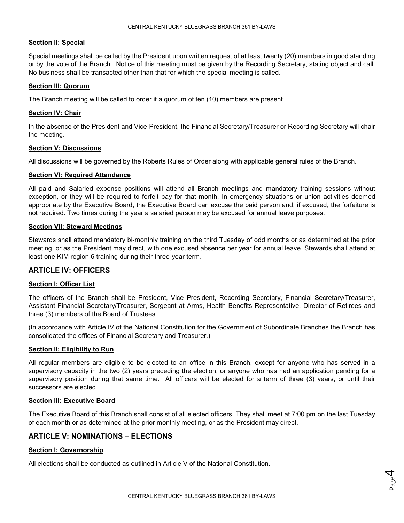#### **Section II: Special**

Special meetings shall be called by the President upon written request of at least twenty (20) members in good standing or by the vote of the Branch. Notice of this meeting must be given by the Recording Secretary, stating object and call. No business shall be transacted other than that for which the special meeting is called.

#### **Section III: Quorum**

The Branch meeting will be called to order if a quorum of ten (10) members are present.

#### **Section IV: Chair**

In the absence of the President and Vice-President, the Financial Secretary/Treasurer or Recording Secretary will chair the meeting.

#### **Section V: Discussions**

All discussions will be governed by the Roberts Rules of Order along with applicable general rules of the Branch.

#### **Section VI: Required Attendance**

All paid and Salaried expense positions will attend all Branch meetings and mandatory training sessions without exception, or they will be required to forfeit pay for that month. In emergency situations or union activities deemed appropriate by the Executive Board, the Executive Board can excuse the paid person and, if excused, the forfeiture is not required. Two times during the year a salaried person may be excused for annual leave purposes.

#### **Section VII: Steward Meetings**

Stewards shall attend mandatory bi-monthly training on the third Tuesday of odd months or as determined at the prior meeting, or as the President may direct, with one excused absence per year for annual leave. Stewards shall attend at least one KIM region 6 training during their three-year term.

## **ARTICLE IV: OFFICERS**

#### **Section I: Officer List**

The officers of the Branch shall be President, Vice President, Recording Secretary, Financial Secretary/Treasurer, Assistant Financial Secretary/Treasurer, Sergeant at Arms, Health Benefits Representative, Director of Retirees and three (3) members of the Board of Trustees.

(In accordance with Article IV of the National Constitution for the Government of Subordinate Branches the Branch has consolidated the offices of Financial Secretary and Treasurer.)

#### **Section II: Eligibility to Run**

All regular members are eligible to be elected to an office in this Branch, except for anyone who has served in a supervisory capacity in the two (2) years preceding the election, or anyone who has had an application pending for a supervisory position during that same time. All officers will be elected for a term of three (3) years, or until their successors are elected.

#### **Section III: Executive Board**

The Executive Board of this Branch shall consist of all elected officers. They shall meet at 7:00 pm on the last Tuesday of each month or as determined at the prior monthly meeting, or as the President may direct.

## **ARTICLE V: NOMINATIONS – ELECTIONS**

#### **Section I: Governorship**

All elections shall be conducted as outlined in Article V of the National Constitution.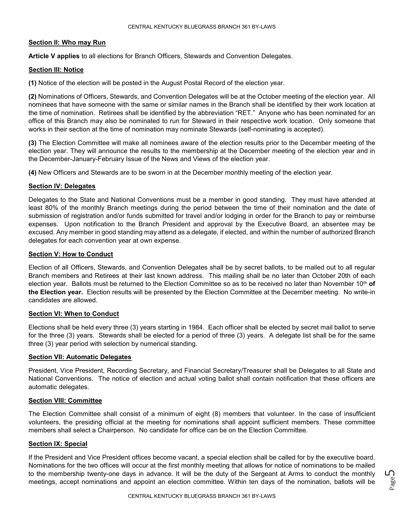#### **Section II: Who may Run**

**Article V applies** to all elections for Branch Officers, Stewards and Convention Delegates.

#### **Section III: Notice**

**(1)** Notice of the election will be posted in the August Postal Record of the election year.

**(2)** Nominations of Officers, Stewards, and Convention Delegates will be at the October meeting of the election year. All nominees that have someone with the same or similar names in the Branch shall be identified by their work location at the time of nomination. Retirees shall be identified by the abbreviation "RET." Anyone who has been nominated for an office of this Branch may also be nominated to run for Steward in their respective work location. Only someone that works in their section at the time of nomination may nominate Stewards (self-nominating is accepted).

**(3)** The Election Committee will make all nominees aware of the election results prior to the December meeting of the election year. They will announce the results to the membership at the December meeting of the election year and in the December-January-February Issue of the News and Views of the election year.

**(4)** New Officers and Stewards are to be sworn in at the December monthly meeting of the election year.

#### **Section IV: Delegates**

Delegates to the State and National Conventions must be a member in good standing. They must have attended at least 80% of the monthly Branch meetings during the period between the time of their nomination and the date of submission of registration and/or funds submitted for travel and/or lodging in order for the Branch to pay or reimburse expenses. Upon notification to the Branch President and approval by the Executive Board, an absentee may be excused. Any member in good standing may attend as a delegate, if elected, and within the number of authorized Branch delegates for each convention year at own expense.

#### **Section V: How to Conduct**

Election of all Officers, Stewards, and Convention Delegates shall be by secret ballots, to be mailed out to all regular Branch members and Retirees at their last known address. This mailing shall be no later than October 20th of each election year. Ballots must be returned to the Election Committee so as to be received no later than November 10th **of the Election year.** Election results will be presented by the Election Committee at the December meeting. No write-in candidates are allowed.

#### **Section VI: When to Conduct**

Elections shall be held every three (3) years starting in 1984. Each officer shall be elected by secret mail ballot to serve for the three (3) years. Stewards shall be elected for a period of three (3) years. A delegate list shall be for the same three (3) year period with selection by numerical standing.

#### **Section VII: Automatic Delegates**

President, Vice President, Recording Secretary, and Financial Secretary/Treasurer shall be Delegates to all State and National Conventions. The notice of election and actual voting ballot shall contain notification that these officers are automatic delegates.

#### **Section VIII: Committee**

The Election Committee shall consist of a minimum of eight (8) members that volunteer. In the case of insufficient volunteers, the presiding official at the meeting for nominations shall appoint sufficient members. These committee members shall select a Chairperson. No candidate for office can be on the Election Committee.

#### **Section IX: Special**

If the President and Vice President offices become vacant, a special election shall be called for by the executive board. Nominations for the two offices will occur at the first monthly meeting that allows for notice of nominations to be mailed to the membership twenty-one days in advance. It will be the duty of the Sergeant at Arms to conduct the monthly meetings, accept nominations and appoint an election committee. Within ten days of the nomination, ballots will be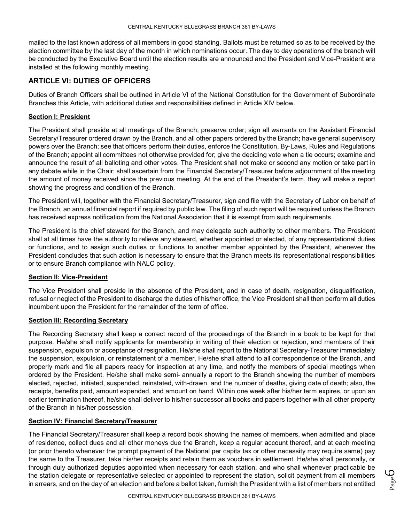mailed to the last known address of all members in good standing. Ballots must be returned so as to be received by the election committee by the last day of the month in which nominations occur. The day to day operations of the branch will be conducted by the Executive Board until the election results are announced and the President and Vice-President are installed at the following monthly meeting.

# **ARTICLE VI: DUTIES OF OFFICERS**

Duties of Branch Officers shall be outlined in Article VI of the National Constitution for the Government of Subordinate Branches this Article, with additional duties and responsibilities defined in Article XIV below.

## **Section I: President**

The President shall preside at all meetings of the Branch; preserve order; sign all warrants on the Assistant Financial Secretary/Treasurer ordered drawn by the Branch, and all other papers ordered by the Branch; have general supervisory powers over the Branch; see that officers perform their duties, enforce the Constitution, By-Laws, Rules and Regulations of the Branch; appoint all committees not otherwise provided for; give the deciding vote when a tie occurs; examine and announce the result of all balloting and other votes. The President shall not make or second any motion or take part in any debate while in the Chair; shall ascertain from the Financial Secretary/Treasurer before adjournment of the meeting the amount of money received since the previous meeting. At the end of the President's term, they will make a report showing the progress and condition of the Branch.

The President will, together with the Financial Secretary/Treasurer, sign and file with the Secretary of Labor on behalf of the Branch, an annual financial report if required by public law. The filing of such report will be required unless the Branch has received express notification from the National Association that it is exempt from such requirements.

The President is the chief steward for the Branch, and may delegate such authority to other members. The President shall at all times have the authority to relieve any steward, whether appointed or elected, of any representational duties or functions, and to assign such duties or functions to another member appointed by the President, whenever the President concludes that such action is necessary to ensure that the Branch meets its representational responsibilities or to ensure Branch compliance with NALC policy.

#### **Section II: Vice-President**

The Vice President shall preside in the absence of the President, and in case of death, resignation, disqualification, refusal or neglect of the President to discharge the duties of his/her office, the Vice President shall then perform all duties incumbent upon the President for the remainder of the term of office.

#### **Section III: Recording Secretary**

The Recording Secretary shall keep a correct record of the proceedings of the Branch in a book to be kept for that purpose. He/she shall notify applicants for membership in writing of their election or rejection, and members of their suspension, expulsion or acceptance of resignation. He/she shall report to the National Secretary-Treasurer immediately the suspension, expulsion, or reinstatement of a member. He/she shall attend to all correspondence of the Branch, and properly mark and file all papers ready for inspection at any time, and notify the members of special meetings when ordered by the President. He/she shall make semi- annually a report to the Branch showing the number of members elected, rejected, initiated, suspended, reinstated, with-drawn, and the number of deaths, giving date of death; also, the receipts, benefits paid, amount expended, and amount on hand. Within one week after his/her term expires, or upon an earlier termination thereof, he/she shall deliver to his/her successor all books and papers together with all other property of the Branch in his/her possession.

## **Section IV: Financial Secretary/Treasurer**

The Financial Secretary/Treasurer shall keep a record book showing the names of members, when admitted and place of residence, collect dues and all other moneys due the Branch, keep a regular account thereof, and at each meeting (or prior thereto whenever the prompt payment of the National per capita tax or other necessity may require same) pay the same to the Treasurer, take his/her receipts and retain them as vouchers in settlement. He/she shall personally, or through duly authorized deputies appointed when necessary for each station, and who shall whenever practicable be the station delegate or representative selected or appointed to represent the station, solicit payment from all members in arrears, and on the day of an election and before a ballot taken, furnish the President with a list of members not entitled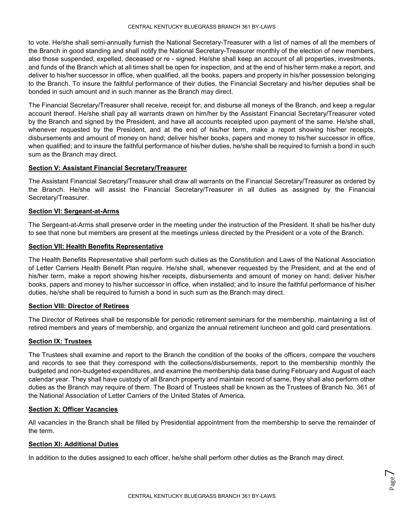to vote. He/she shall semi-annually furnish the National Secretary-Treasurer with a list of names of all the members of the Branch in good standing and shall notify the National Secretary-Treasurer monthly of the election of new members, also those suspended, expelled, deceased or re - signed. He/she shall keep an account of all properties, investments, and funds of the Branch which at all times shall be open for inspection, and at the end of his/her term make a report, and deliver to his/her successor in office, when qualified, all the books, papers and property in his/her possession belonging to the Branch. To insure the faithful performance of their duties, the Financial Secretary and his/her deputies shall be bonded in such amount and in such manner as the Branch may direct.

The Financial Secretary/Treasurer shall receive, receipt for, and disburse all moneys of the Branch, and keep a regular account thereof. He/she shall pay all warrants drawn on him/her by the Assistant Financial Secretary/Treasurer voted by the Branch and signed by the President, and have all accounts receipted upon payment of the same. He/she shall, whenever requested by the President, and at the end of his/her term, make a report showing his/her receipts, disbursements and amount of money on hand; deliver his/her books, papers and money to his/her successor in office, when qualified; and to insure the faithful performance of his/her duties, he/she shall be required to furnish a bond in such sum as the Branch may direct.

## **Section V: Assistant Financial Secretary/Treasurer**

The Assistant Financial Secretary/Treasurer shall draw all warrants on the Financial Secretary/Treasurer as ordered by the Branch. He/she will assist the Financial Secretary/Treasurer in all duties as assigned by the Financial Secretary/Treasurer.

## **Section VI: Sergeant-at-Arms**

The Sergeant-at-Arms shall preserve order in the meeting under the instruction of the President. It shall be his/her duty to see that none but members are present at the meetings unless directed by the President or a vote of the Branch.

#### **Section VII: Health Benefits Representative**

The Health Benefits Representative shall perform such duties as the Constitution and Laws of the National Association of Letter Carriers Health Benefit Plan require. He/she shall, whenever requested by the President, and at the end of his/her term, make a report showing his/her receipts, disbursements and amount of money on hand; deliver his/her books, papers and money to his/her successor in office, when installed; and to insure the faithful performance of his/her duties, he/she shall be required to furnish a bond in such sum as the Branch may direct.

#### **Section VIII: Director of Retirees**

The Director of Retirees shall be responsible for periodic retirement seminars for the membership, maintaining a list of retired members and years of membership, and organize the annual retirement luncheon and gold card presentations.

#### **Section IX: Trustees**

The Trustees shall examine and report to the Branch the condition of the books of the officers, compare the vouchers and records to see that they correspond with the collections/disbursements, report to the membership monthly the budgeted and non-budgeted expenditures, and examine the membership data base during February and August of each calendar year. They shall have custody of all Branch property and maintain record of same, they shall also perform other duties as the Branch may require of them. The Board of Trustees shall be known as the Trustees of Branch No. 361 of the National Association of Letter Carriers of the United States of America.

#### **Section X: Officer Vacancies**

All vacancies in the Branch shall be filled by Presidential appointment from the membership to serve the remainder of the term.

#### **Section XI: Additional Duties**

In addition to the duties assigned to each officer, he/she shall perform other duties as the Branch may direct.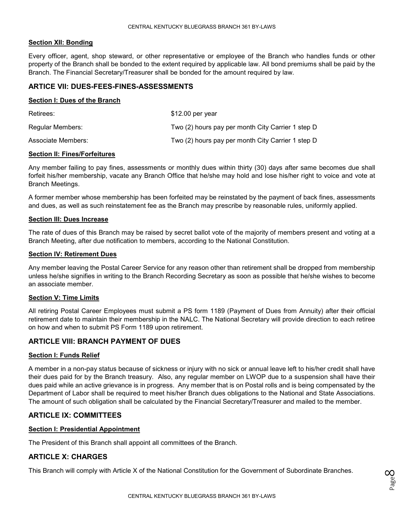#### **Section XII: Bonding**

Every officer, agent, shop steward, or other representative or employee of the Branch who handles funds or other property of the Branch shall be bonded to the extent required by applicable law. All bond premiums shall be paid by the Branch. The Financial Secretary/Treasurer shall be bonded for the amount required by law.

## **ARTICE VII: DUES-FEES-FINES-ASSESSMENTS**

#### **Section I: Dues of the Branch**

| Retirees:          | \$12.00 per year                                  |
|--------------------|---------------------------------------------------|
| Regular Members:   | Two (2) hours pay per month City Carrier 1 step D |
| Associate Members: | Two (2) hours pay per month City Carrier 1 step D |

#### **Section II: Fines/Forfeitures**

Any member failing to pay fines, assessments or monthly dues within thirty (30) days after same becomes due shall forfeit his/her membership, vacate any Branch Office that he/she may hold and lose his/her right to voice and vote at Branch Meetings.

A former member whose membership has been forfeited may be reinstated by the payment of back fines, assessments and dues, as well as such reinstatement fee as the Branch may prescribe by reasonable rules, uniformly applied.

#### **Section III: Dues Increase**

The rate of dues of this Branch may be raised by secret ballot vote of the majority of members present and voting at a Branch Meeting, after due notification to members, according to the National Constitution.

## **Section IV: Retirement Dues**

Any member leaving the Postal Career Service for any reason other than retirement shall be dropped from membership unless he/she signifies in writing to the Branch Recording Secretary as soon as possible that he/she wishes to become an associate member.

#### **Section V: Time Limits**

All retiring Postal Career Employees must submit a PS form 1189 (Payment of Dues from Annuity) after their official retirement date to maintain their membership in the NALC. The National Secretary will provide direction to each retiree on how and when to submit PS Form 1189 upon retirement.

## **ARTICLE VIII: BRANCH PAYMENT OF DUES**

#### **Section I: Funds Relief**

A member in a non-pay status because of sickness or injury with no sick or annual leave left to his/her credit shall have their dues paid for by the Branch treasury. Also, any regular member on LWOP due to a suspension shall have their dues paid while an active grievance is in progress. Any member that is on Postal rolls and is being compensated by the Department of Labor shall be required to meet his/her Branch dues obligations to the National and State Associations. The amount of such obligation shall be calculated by the Financial Secretary/Treasurer and mailed to the member.

## **ARTICLE IX: COMMITTEES**

#### **Section I: Presidential Appointment**

The President of this Branch shall appoint all committees of the Branch.

# **ARTICLE X: CHARGES**

This Branch will comply with Article X of the National Constitution for the Government of Subordinate Branches.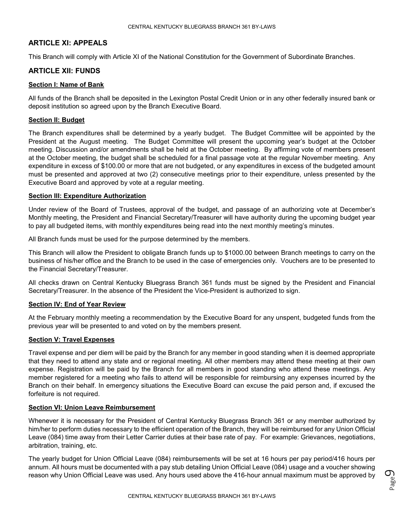## **ARTICLE XI: APPEALS**

This Branch will comply with Article XI of the National Constitution for the Government of Subordinate Branches.

## **ARTICLE XII: FUNDS**

#### **Section I: Name of Bank**

All funds of the Branch shall be deposited in the Lexington Postal Credit Union or in any other federally insured bank or deposit institution so agreed upon by the Branch Executive Board.

## **Section II: Budget**

The Branch expenditures shall be determined by a yearly budget. The Budget Committee will be appointed by the President at the August meeting. The Budget Committee will present the upcoming year's budget at the October meeting. Discussion and/or amendments shall be held at the October meeting. By affirming vote of members present at the October meeting, the budget shall be scheduled for a final passage vote at the regular November meeting. Any expenditure in excess of \$100.00 or more that are not budgeted, or any expenditures in excess of the budgeted amount must be presented and approved at two (2) consecutive meetings prior to their expenditure, unless presented by the Executive Board and approved by vote at a regular meeting.

## **Section III: Expenditure Authorization**

Under review of the Board of Trustees, approval of the budget, and passage of an authorizing vote at December's Monthly meeting, the President and Financial Secretary/Treasurer will have authority during the upcoming budget year to pay all budgeted items, with monthly expenditures being read into the next monthly meeting's minutes.

All Branch funds must be used for the purpose determined by the members.

This Branch will allow the President to obligate Branch funds up to \$1000.00 between Branch meetings to carry on the business of his/her office and the Branch to be used in the case of emergencies only. Vouchers are to be presented to the Financial Secretary/Treasurer.

All checks drawn on Central Kentucky Bluegrass Branch 361 funds must be signed by the President and Financial Secretary/Treasurer. In the absence of the President the Vice-President is authorized to sign.

#### **Section IV: End of Year Review**

At the February monthly meeting a recommendation by the Executive Board for any unspent, budgeted funds from the previous year will be presented to and voted on by the members present.

## **Section V: Travel Expenses**

Travel expense and per diem will be paid by the Branch for any member in good standing when it is deemed appropriate that they need to attend any state and or regional meeting. All other members may attend these meeting at their own expense. Registration will be paid by the Branch for all members in good standing who attend these meetings. Any member registered for a meeting who fails to attend will be responsible for reimbursing any expenses incurred by the Branch on their behalf. In emergency situations the Executive Board can excuse the paid person and, if excused the forfeiture is not required.

#### **Section VI: Union Leave Reimbursement**

Whenever it is necessary for the President of Central Kentucky Bluegrass Branch 361 or any member authorized by him/her to perform duties necessary to the efficient operation of the Branch, they will be reimbursed for any Union Official Leave (084) time away from their Letter Carrier duties at their base rate of pay. For example: Grievances, negotiations, arbitration, training, etc.

The yearly budget for Union Official Leave (084) reimbursements will be set at 16 hours per pay period/416 hours per annum. All hours must be documented with a pay stub detailing Union Official Leave (084) usage and a voucher showing reason why Union Official Leave was used. Any hours used above the 416-hour annual maximum must be approved by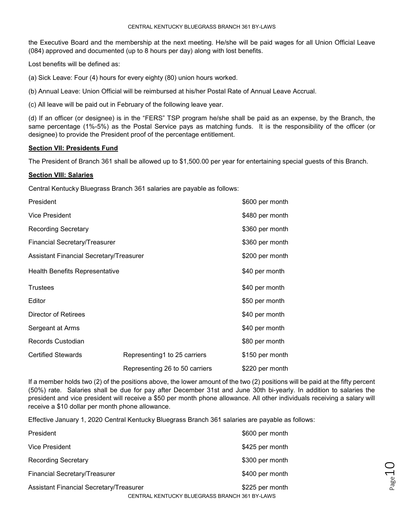the Executive Board and the membership at the next meeting. He/she will be paid wages for all Union Official Leave (084) approved and documented (up to 8 hours per day) along with lost benefits.

Lost benefits will be defined as:

(a) Sick Leave: Four (4) hours for every eighty (80) union hours worked.

(b) Annual Leave: Union Official will be reimbursed at his/her Postal Rate of Annual Leave Accrual.

(c) All leave will be paid out in February of the following leave year.

(d) If an officer (or designee) is in the "FERS" TSP program he/she shall be paid as an expense, by the Branch, the same percentage (1%-5%) as the Postal Service pays as matching funds. It is the responsibility of the officer (or designee) to provide the President proof of the percentage entitlement.

#### **Section VII: Presidents Fund**

The President of Branch 361 shall be allowed up to \$1,500.00 per year for entertaining special guests of this Branch.

#### **Section VIII: Salaries**

Central Kentucky Bluegrass Branch 361 salaries are payable as follows:

| President                               |                                | \$600 per month |
|-----------------------------------------|--------------------------------|-----------------|
| Vice President                          |                                | \$480 per month |
| Recording Secretary                     |                                | \$360 per month |
| Financial Secretary/Treasurer           |                                | \$360 per month |
| Assistant Financial Secretary/Treasurer |                                | \$200 per month |
| Health Benefits Representative          |                                | \$40 per month  |
| <b>Trustees</b>                         |                                | \$40 per month  |
| Editor                                  |                                | \$50 per month  |
| Director of Retirees                    |                                | \$40 per month  |
| Sergeant at Arms                        |                                | \$40 per month  |
| <b>Records Custodian</b>                |                                | \$80 per month  |
| <b>Certified Stewards</b>               | Representing1 to 25 carriers   | \$150 per month |
|                                         | Representing 26 to 50 carriers | \$220 per month |

If a member holds two (2) of the positions above, the lower amount of the two (2) positions will be paid at the fifty percent (50%) rate. Salaries shall be due for pay after December 31st and June 30th bi-yearly. In addition to salaries the president and vice president will receive a \$50 per month phone allowance. All other individuals receiving a salary will receive a \$10 dollar per month phone allowance.

Page 1

Effective January 1, 2020 Central Kentucky Bluegrass Branch 361 salaries are payable as follows:

| President                                      |                                               | \$600 per month |
|------------------------------------------------|-----------------------------------------------|-----------------|
| Vice President                                 |                                               | \$425 per month |
| <b>Recording Secretary</b>                     |                                               | \$300 per month |
| Financial Secretary/Treasurer                  |                                               | \$400 per month |
| <b>Assistant Financial Secretary/Treasurer</b> |                                               | \$225 per month |
|                                                | CENTRAL KENTUCKY BLUEGRASS BRANCH 361 BY-LAWS |                 |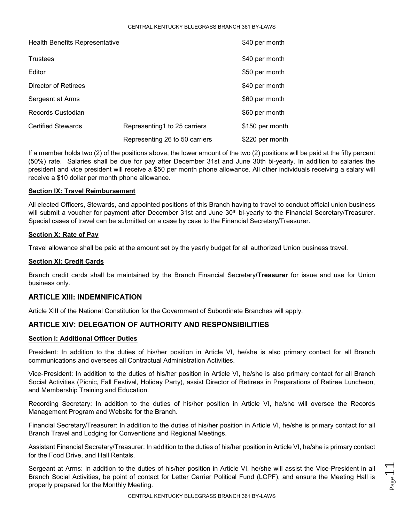#### CENTRAL KENTUCKY BLUEGRASS BRANCH 361 BY-LAWS

| Health Benefits Representative |                                | \$40 per month  |
|--------------------------------|--------------------------------|-----------------|
| <b>Trustees</b>                |                                | \$40 per month  |
| Editor                         |                                | \$50 per month  |
| Director of Retirees           |                                | \$40 per month  |
| Sergeant at Arms               |                                | \$60 per month  |
| Records Custodian              |                                | \$60 per month  |
| <b>Certified Stewards</b>      | Representing1 to 25 carriers   | \$150 per month |
|                                | Representing 26 to 50 carriers | \$220 per month |

If a member holds two (2) of the positions above, the lower amount of the two (2) positions will be paid at the fifty percent (50%) rate. Salaries shall be due for pay after December 31st and June 30th bi-yearly. In addition to salaries the president and vice president will receive a \$50 per month phone allowance. All other individuals receiving a salary will receive a \$10 dollar per month phone allowance.

## **Section IX: Travel Reimbursement**

All elected Officers, Stewards, and appointed positions of this Branch having to travel to conduct official union business will submit a voucher for payment after December 31st and June 30<sup>th</sup> bi-yearly to the Financial Secretary/Treasurer. Special cases of travel can be submitted on a case by case to the Financial Secretary/Treasurer.

## **Section X: Rate of Pay**

Travel allowance shall be paid at the amount set by the yearly budget for all authorized Union business travel.

#### **Section XI: Credit Cards**

Branch credit cards shall be maintained by the Branch Financial Secretary**/Treasurer** for issue and use for Union business only.

# **ARTICLE XIII: INDEMNIFICATION**

Article XIII of the National Constitution for the Government of Subordinate Branches will apply.

## **ARTICLE XIV: DELEGATION OF AUTHORITY AND RESPONSIBILITIES**

#### **Section I: Additional Officer Duties**

President: In addition to the duties of his/her position in Article VI, he/she is also primary contact for all Branch communications and oversees all Contractual Administration Activities.

Vice-President: In addition to the duties of his/her position in Article VI, he/she is also primary contact for all Branch Social Activities (Picnic, Fall Festival, Holiday Party), assist Director of Retirees in Preparations of Retiree Luncheon, and Membership Training and Education.

Recording Secretary: In addition to the duties of his/her position in Article VI, he/she will oversee the Records Management Program and Website for the Branch.

Financial Secretary/Treasurer: In addition to the duties of his/her position in Article VI, he/she is primary contact for all Branch Travel and Lodging for Conventions and Regional Meetings.

Assistant Financial Secretary/Treasurer: In addition to the duties of his/her position in Article VI, he/she is primary contact for the Food Drive, and Hall Rentals.

Sergeant at Arms: In addition to the duties of his/her position in Article VI, he/she will assist the Vice-President in all Branch Social Activities, be point of contact for Letter Carrier Political Fund (LCPF), and ensure the Meeting Hall is properly prepared for the Monthly Meeting.

Page1.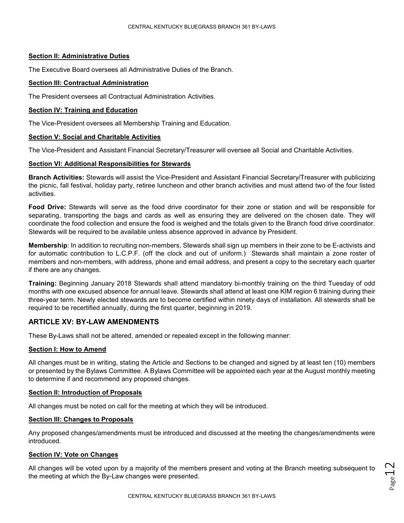#### **Section II: Administrative Duties**

The Executive Board oversees all Administrative Duties of the Branch.

## **Section III: Contractual Administration**

The President oversees all Contractual Administration Activities.

#### **Section IV: Training and Education**

The Vice-President oversees all Membership Training and Education.

## **Section V: Social and Charitable Activities**

The Vice-President and Assistant Financial Secretary/Treasurer will oversee all Social and Charitable Activities.

## **Section VI: Additional Responsibilities for Stewards**

**Branch Activities:** Stewards will assist the Vice-President and Assistant Financial Secretary/Treasurer with publicizing the picnic, fall festival, holiday party, retiree luncheon and other branch activities and must attend two of the four listed activities.

**Food Drive:** Stewards will serve as the food drive coordinator for their zone or station and will be responsible for separating, transporting the bags and cards as well as ensuring they are delivered on the chosen date. They will coordinate the food collection and ensure the food is weighed and the totals given to the Branch food drive coordinator. Stewards will be required to be available unless absence approved in advance by President.

**Membership**: In addition to recruiting non-members, Stewards shall sign up members in their zone to be E-activists and for automatic contribution to L.C.P.F. (off the clock and out of uniform.) Stewards shall maintain a zone roster of members and non-members, with address, phone and email address, and present a copy to the secretary each quarter if there are any changes.

**Training:** Beginning January 2018 Stewards shall attend mandatory bi-monthly training on the third Tuesday of odd months with one excused absence for annual leave. Stewards shall attend at least one KIM region 6 training during their three-year term. Newly elected stewards are to become certified within ninety days of installation. All stewards shall be required to be recertified annually, during the first quarter, beginning in 2019.

# **ARTICLE XV: BY-LAW AMENDMENTS**

These By-Laws shall not be altered, amended or repealed except in the following manner:

#### **Section I: How to Amend**

All changes must be in writing, stating the Article and Sections to be changed and signed by at least ten (10) members or presented by the Bylaws Committee. A Bylaws Committee will be appointed each year at the August monthly meeting to determine if and recommend any proposed changes.

#### **Section II: Introduction of Proposals**

All changes must be noted on call for the meeting at which they will be introduced.

## **Section III: Changes to Proposals**

Any proposed changes/amendments must be introduced and discussed at the meeting the changes/amendments were introduced.

## **Section IV: Vote on Changes**

All changes will be voted upon by a majority of the members present and voting at the Branch meeting subsequent to the meeting at which the By-Law changes were presented.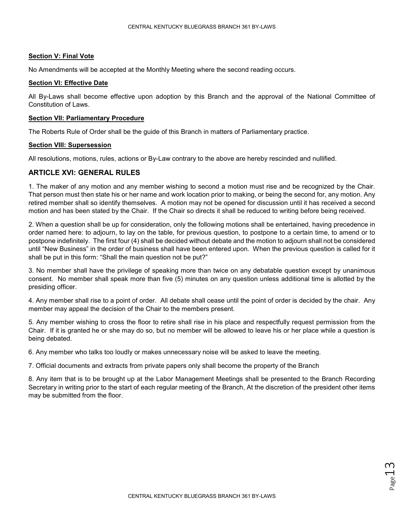#### **Section V: Final Vote**

No Amendments will be accepted at the Monthly Meeting where the second reading occurs.

#### **Section VI: Effective Date**

All By-Laws shall become effective upon adoption by this Branch and the approval of the National Committee of Constitution of Laws.

#### **Section VII: Parliamentary Procedure**

The Roberts Rule of Order shall be the guide of this Branch in matters of Parliamentary practice.

## **Section VIII: Supersession**

All resolutions, motions, rules, actions or By-Law contrary to the above are hereby rescinded and nullified.

## **ARTICLE XVI: GENERAL RULES**

1. The maker of any motion and any member wishing to second a motion must rise and be recognized by the Chair. That person must then state his or her name and work location prior to making, or being the second for, any motion. Any retired member shall so identify themselves. A motion may not be opened for discussion until it has received a second motion and has been stated by the Chair. If the Chair so directs it shall be reduced to writing before being received.

2. When a question shall be up for consideration, only the following motions shall be entertained, having precedence in order named here: to adjourn, to lay on the table, for previous question, to postpone to a certain time, to amend or to postpone indefinitely. The first four (4) shall be decided without debate and the motion to adjourn shall not be considered until "New Business" in the order of business shall have been entered upon. When the previous question is called for it shall be put in this form: "Shall the main question not be put?"

3. No member shall have the privilege of speaking more than twice on any debatable question except by unanimous consent. No member shall speak more than five (5) minutes on any question unless additional time is allotted by the presiding officer.

4. Any member shall rise to a point of order. All debate shall cease until the point of order is decided by the chair. Any member may appeal the decision of the Chair to the members present.

5. Any member wishing to cross the floor to retire shall rise in his place and respectfully request permission from the Chair. If it is granted he or she may do so, but no member will be allowed to leave his or her place while a question is being debated.

6. Any member who talks too loudly or makes unnecessary noise will be asked to leave the meeting.

7. Official documents and extracts from private papers only shall become the property of the Branch

8. Any item that is to be brought up at the Labor Management Meetings shall be presented to the Branch Recording Secretary in writing prior to the start of each regular meeting of the Branch, At the discretion of the president other items may be submitted from the floor.